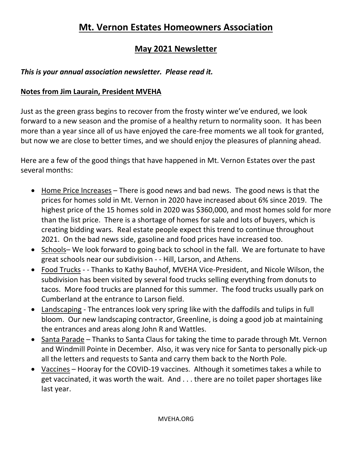# **Mt. Vernon Estates Homeowners Association**

# **May 2021 Newsletter**

# *This is your annual association newsletter. Please read it.*

### **Notes from Jim Laurain, President MVEHA**

Just as the green grass begins to recover from the frosty winter we've endured, we look forward to a new season and the promise of a healthy return to normality soon. It has been more than a year since all of us have enjoyed the care-free moments we all took for granted, but now we are close to better times, and we should enjoy the pleasures of planning ahead.

Here are a few of the good things that have happened in Mt. Vernon Estates over the past several months:

- Home Price Increases There is good news and bad news. The good news is that the prices for homes sold in Mt. Vernon in 2020 have increased about 6% since 2019. The highest price of the 15 homes sold in 2020 was \$360,000, and most homes sold for more than the list price. There is a shortage of homes for sale and lots of buyers, which is creating bidding wars. Real estate people expect this trend to continue throughout 2021. On the bad news side, gasoline and food prices have increased too.
- Schools– We look forward to going back to school in the fall. We are fortunate to have great schools near our subdivision - - Hill, Larson, and Athens.
- Food Trucks - Thanks to Kathy Bauhof, MVEHA Vice-President, and Nicole Wilson, the subdivision has been visited by several food trucks selling everything from donuts to tacos. More food trucks are planned for this summer. The food trucks usually park on Cumberland at the entrance to Larson field.
- Landscaping The entrances look very spring like with the daffodils and tulips in full bloom. Our new landscaping contractor, Greenline, is doing a good job at maintaining the entrances and areas along John R and Wattles.
- Santa Parade Thanks to Santa Claus for taking the time to parade through Mt. Vernon and Windmill Pointe in December. Also, it was very nice for Santa to personally pick-up all the letters and requests to Santa and carry them back to the North Pole.
- Vaccines Hooray for the COVID-19 vaccines. Although it sometimes takes a while to get vaccinated, it was worth the wait. And . . . there are no toilet paper shortages like last year.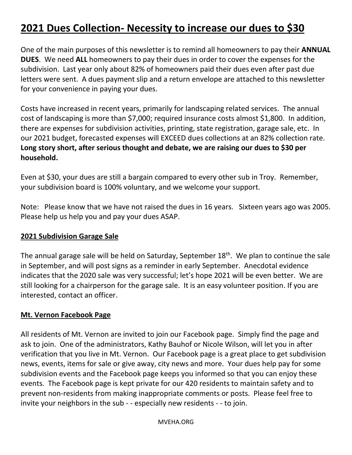# **2021 Dues Collection- Necessity to increase our dues to \$30**

One of the main purposes of this newsletter is to remind all homeowners to pay their **ANNUAL DUES**. We need **ALL** homeowners to pay their dues in order to cover the expenses for the subdivision. Last year only about 82% of homeowners paid their dues even after past due letters were sent. A dues payment slip and a return envelope are attached to this newsletter for your convenience in paying your dues.

Costs have increased in recent years, primarily for landscaping related services. The annual cost of landscaping is more than \$7,000; required insurance costs almost \$1,800. In addition, there are expenses for subdivision activities, printing, state registration, garage sale, etc. In our 2021 budget, forecasted expenses will EXCEED dues collections at an 82% collection rate. **Long story short, after serious thought and debate, we are raising our dues to \$30 per household.**

Even at \$30, your dues are still a bargain compared to every other sub in Troy. Remember, your subdivision board is 100% voluntary, and we welcome your support.

Note: Please know that we have not raised the dues in 16 years. Sixteen years ago was 2005. Please help us help you and pay your dues ASAP.

#### **2021 Subdivision Garage Sale**

The annual garage sale will be held on Saturday, September  $18<sup>th</sup>$ . We plan to continue the sale in September, and will post signs as a reminder in early September. Anecdotal evidence indicates that the 2020 sale was very successful; let's hope 2021 will be even better. We are still looking for a chairperson for the garage sale. It is an easy volunteer position. If you are interested, contact an officer.

#### **Mt. Vernon Facebook Page**

All residents of Mt. Vernon are invited to join our Facebook page. Simply find the page and ask to join. One of the administrators, Kathy Bauhof or Nicole Wilson, will let you in after verification that you live in Mt. Vernon. Our Facebook page is a great place to get subdivision news, events, items for sale or give away, city news and more. Your dues help pay for some subdivision events and the Facebook page keeps you informed so that you can enjoy these events. The Facebook page is kept private for our 420 residents to maintain safety and to prevent non-residents from making inappropriate comments or posts. Please feel free to invite your neighbors in the sub - - especially new residents - - to join.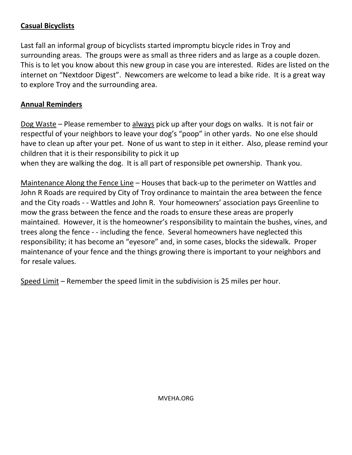# **Casual Bicyclists**

Last fall an informal group of bicyclists started impromptu bicycle rides in Troy and surrounding areas. The groups were as small as three riders and as large as a couple dozen. This is to let you know about this new group in case you are interested. Rides are listed on the internet on "Nextdoor Digest". Newcomers are welcome to lead a bike ride. It is a great way to explore Troy and the surrounding area.

### **Annual Reminders**

Dog Waste – Please remember to always pick up after your dogs on walks. It is not fair or respectful of your neighbors to leave your dog's "poop" in other yards. No one else should have to clean up after your pet. None of us want to step in it either. Also, please remind your children that it is their responsibility to pick it up

when they are walking the dog. It is all part of responsible pet ownership. Thank you.

Maintenance Along the Fence Line – Houses that back-up to the perimeter on Wattles and John R Roads are required by City of Troy ordinance to maintain the area between the fence and the City roads - - Wattles and John R. Your homeowners' association pays Greenline to mow the grass between the fence and the roads to ensure these areas are properly maintained. However, it is the homeowner's responsibility to maintain the bushes, vines, and trees along the fence - - including the fence. Several homeowners have neglected this responsibility; it has become an "eyesore" and, in some cases, blocks the sidewalk. Proper maintenance of your fence and the things growing there is important to your neighbors and for resale values.

Speed Limit – Remember the speed limit in the subdivision is 25 miles per hour.